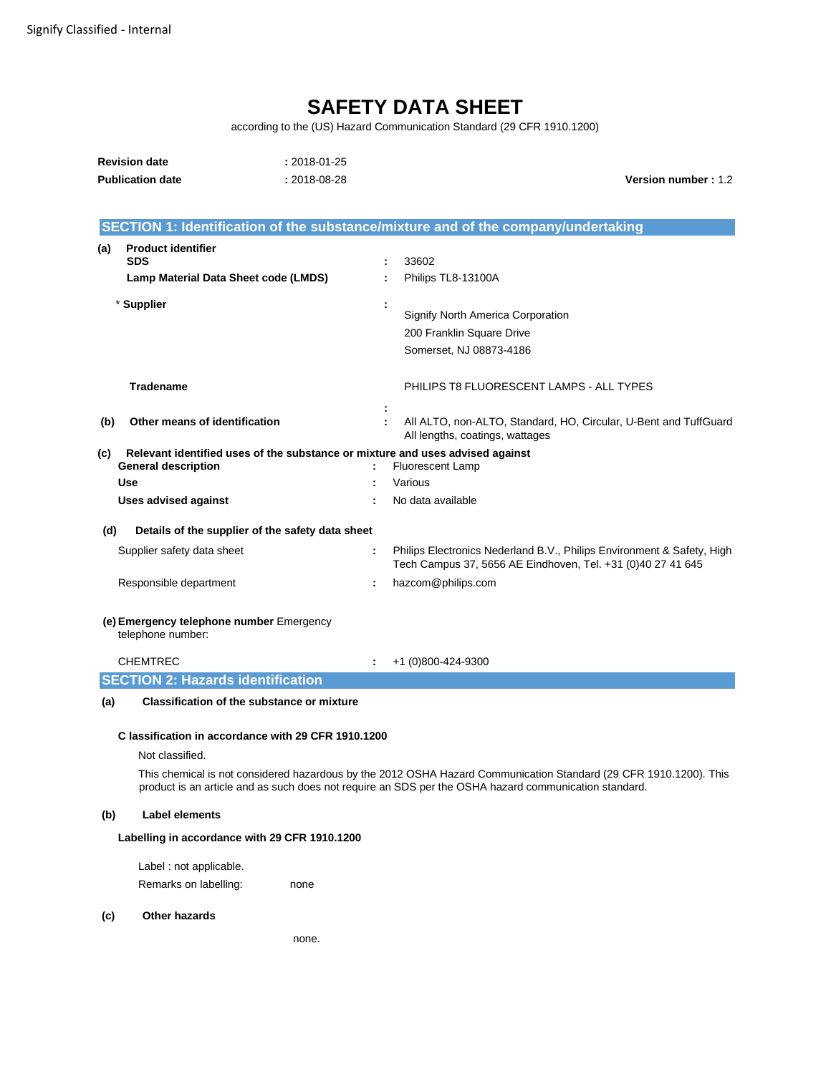# **SAFETY DATA SHEET**

according to the (US) Hazard Communication Standard (29 CFR 1910.1200)

| <b>Revision date</b>    | $: 2018 - 01 - 25$ |                            |
|-------------------------|--------------------|----------------------------|
| <b>Publication date</b> | $: 2018 - 08 - 28$ | <b>Version number: 1.2</b> |

|                                                               | SECTION 1: Identification of the substance/mixture and of the company/undertaking                                                     |  |  |  |  |  |
|---------------------------------------------------------------|---------------------------------------------------------------------------------------------------------------------------------------|--|--|--|--|--|
| <b>Product identifier</b><br>(a)                              |                                                                                                                                       |  |  |  |  |  |
| <b>SDS</b>                                                    | 33602                                                                                                                                 |  |  |  |  |  |
| Lamp Material Data Sheet code (LMDS)                          | Philips TL8-13100A<br>÷                                                                                                               |  |  |  |  |  |
| * Supplier                                                    |                                                                                                                                       |  |  |  |  |  |
|                                                               | Signify North America Corporation                                                                                                     |  |  |  |  |  |
|                                                               | 200 Franklin Square Drive                                                                                                             |  |  |  |  |  |
|                                                               | Somerset, NJ 08873-4186                                                                                                               |  |  |  |  |  |
| <b>Tradename</b>                                              | PHILIPS T8 FLUORESCENT LAMPS - ALL TYPES                                                                                              |  |  |  |  |  |
| Other means of identification<br>(b)                          | All ALTO, non-ALTO, Standard, HO, Circular, U-Bent and TuffGuard<br>All lengths, coatings, wattages                                   |  |  |  |  |  |
| (c)                                                           | Relevant identified uses of the substance or mixture and uses advised against                                                         |  |  |  |  |  |
| <b>General description</b>                                    | Fluorescent Lamp                                                                                                                      |  |  |  |  |  |
| Use                                                           | Various                                                                                                                               |  |  |  |  |  |
| <b>Uses advised against</b>                                   | No data available                                                                                                                     |  |  |  |  |  |
| Details of the supplier of the safety data sheet<br>(d)       |                                                                                                                                       |  |  |  |  |  |
| Supplier safety data sheet                                    | Philips Electronics Nederland B.V., Philips Environment & Safety, High<br>Tech Campus 37, 5656 AE Eindhoven, Tel. +31 (0)40 27 41 645 |  |  |  |  |  |
| Responsible department                                        | hazcom@philips.com<br>t                                                                                                               |  |  |  |  |  |
| (e) Emergency telephone number Emergency<br>telephone number: |                                                                                                                                       |  |  |  |  |  |
| <b>CHEMTREC</b>                                               | +1 (0)800-424-9300<br>÷                                                                                                               |  |  |  |  |  |
| <b>SECTION 2: Hazards identification</b>                      |                                                                                                                                       |  |  |  |  |  |
| <b>Classification of the substance or mixture</b><br>(a)      |                                                                                                                                       |  |  |  |  |  |
| C lassification in accordance with 29 CFR 1910.1200           |                                                                                                                                       |  |  |  |  |  |
| Not classified.                                               |                                                                                                                                       |  |  |  |  |  |
|                                                               | This chemical is not considered hazardous by the 2012 OSHA Hazard Communication Standard (29 CFR 1910.1200). This                     |  |  |  |  |  |
|                                                               | product is an article and as such does not require an SDS per the OSHA hazard communication standard.                                 |  |  |  |  |  |

# **(b) Label elements**

# **Labelling in accordance with 29 CFR 1910.1200**

Label : not applicable. Remarks on labelling: none

# **(c) Other hazards**

none.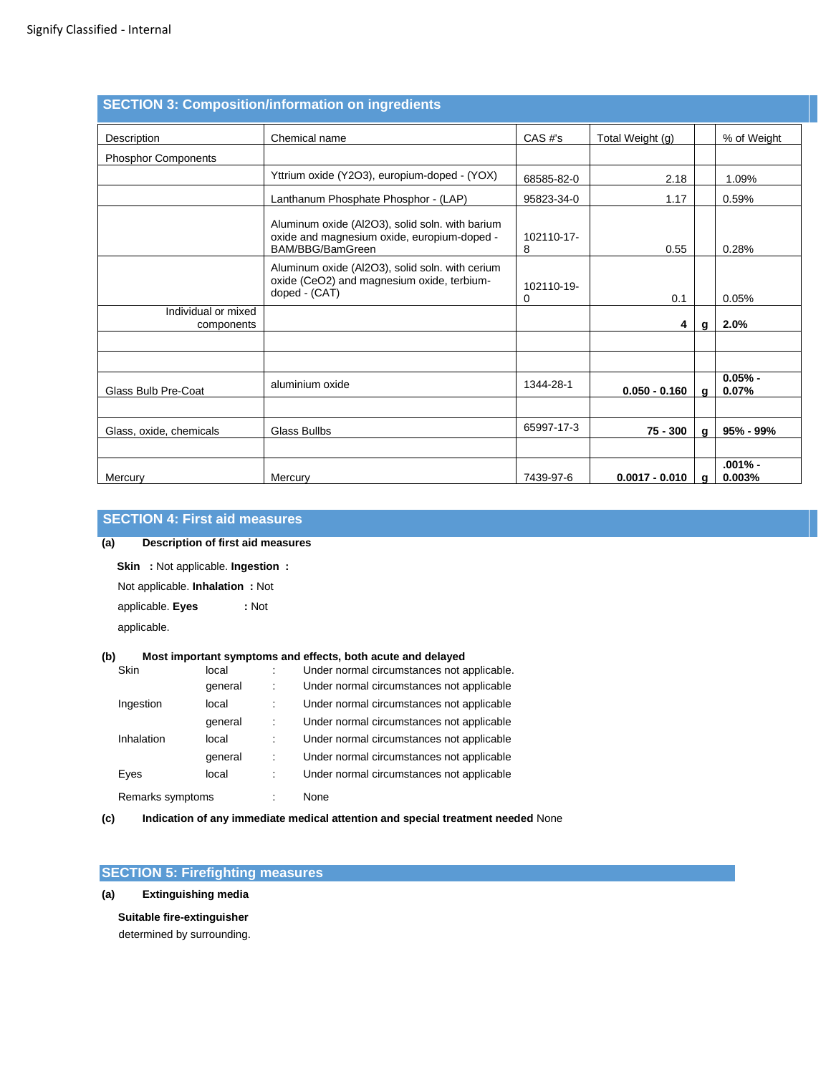|                                   | <b>SECTION 3: Composition/information on ingredients</b>                                                           |                 |                  |              |                     |
|-----------------------------------|--------------------------------------------------------------------------------------------------------------------|-----------------|------------------|--------------|---------------------|
| Description                       | Chemical name                                                                                                      | CAS#'s          | Total Weight (g) |              | % of Weight         |
| <b>Phosphor Components</b>        |                                                                                                                    |                 |                  |              |                     |
|                                   | Yttrium oxide (Y2O3), europium-doped - (YOX)                                                                       | 68585-82-0      | 2.18             |              | 1.09%               |
|                                   | Lanthanum Phosphate Phosphor - (LAP)                                                                               | 95823-34-0      | 1.17             |              | 0.59%               |
|                                   | Aluminum oxide (Al2O3), solid soln. with barium<br>oxide and magnesium oxide, europium-doped -<br>BAM/BBG/BamGreen | 102110-17-<br>8 | 0.55             |              | 0.28%               |
|                                   | Aluminum oxide (Al2O3), solid soln. with cerium<br>oxide (CeO2) and magnesium oxide, terbium-<br>doped - (CAT)     | 102110-19-<br>0 | 0.1              |              | 0.05%               |
| Individual or mixed<br>components |                                                                                                                    |                 | 4                | q            | 2.0%                |
|                                   |                                                                                                                    |                 |                  |              |                     |
| Glass Bulb Pre-Coat               | aluminium oxide                                                                                                    | 1344-28-1       | $0.050 - 0.160$  | $\mathbf{q}$ | $0.05% -$<br>0.07%  |
| Glass, oxide, chemicals           | <b>Glass Bullbs</b>                                                                                                | 65997-17-3      | 75 - 300         | $\mathbf{q}$ | $95\% - 99\%$       |
| Mercury                           | Mercury                                                                                                            | 7439-97-6       | $0.0017 - 0.010$ | a            | $.001% -$<br>0.003% |

# **SECTION 4: First aid measures**

# **(a) Description of first aid measures**

**Skin :** Not applicable. **Ingestion :** 

Not applicable. **Inhalation :** Not

applicable. **Eyes :** Not

applicable.

# **(b) Most important symptoms and effects, both acute and delayed**

| Skin             | local   |   | Under normal circumstances not applicable. |
|------------------|---------|---|--------------------------------------------|
|                  | general | ÷ | Under normal circumstances not applicable  |
| Ingestion        | local   |   | Under normal circumstances not applicable  |
|                  | general | İ | Under normal circumstances not applicable  |
| Inhalation       | local   |   | Under normal circumstances not applicable  |
|                  | general | ÷ | Under normal circumstances not applicable  |
| Eyes             | local   | ÷ | Under normal circumstances not applicable  |
| Remarks symptoms |         |   | None                                       |

**(c) Indication of any immediate medical attention and special treatment needed** None

# **SECTION 5: Firefighting measures**

**(a) Extinguishing media**

**Suitable fire-extinguisher**  determined by surrounding.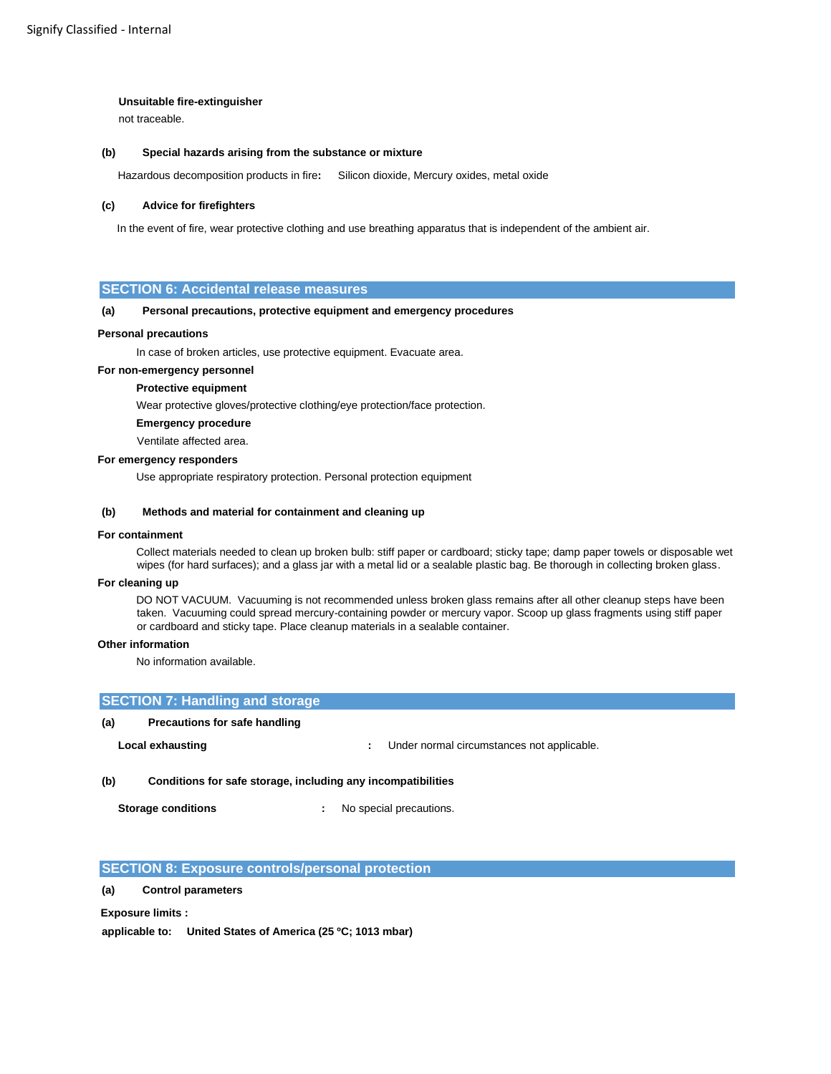### **Unsuitable fire-extinguisher**

not traceable.

### **(b) Special hazards arising from the substance or mixture**

Hazardous decomposition products in fire**:** Silicon dioxide, Mercury oxides, metal oxide

### **(c) Advice for firefighters**

In the event of fire, wear protective clothing and use breathing apparatus that is independent of the ambient air.

# **SECTION 6: Accidental release measures**

### **(a) Personal precautions, protective equipment and emergency procedures**

### **Personal precautions**

In case of broken articles, use protective equipment. Evacuate area.

### **For non-emergency personnel**

# **Protective equipment**

Wear protective gloves/protective clothing/eye protection/face protection.

# **Emergency procedure**

Ventilate affected area.

### **For emergency responders**

Use appropriate respiratory protection. Personal protection equipment

### **(b) Methods and material for containment and cleaning up**

### **For containment**

Collect materials needed to clean up broken bulb: stiff paper or cardboard; sticky tape; damp paper towels or disposable wet wipes (for hard surfaces); and a glass jar with a metal lid or a sealable plastic bag. Be thorough in collecting broken glass.

### **For cleaning up**

DO NOT VACUUM. Vacuuming is not recommended unless broken glass remains after all other cleanup steps have been taken. Vacuuming could spread mercury-containing powder or mercury vapor. Scoop up glass fragments using stiff paper or cardboard and sticky tape. Place cleanup materials in a sealable container.

### **Other information**

No information available.

|     | <b>SECTION 7: Handling and storage</b>                       |  |                                            |  |  |  |
|-----|--------------------------------------------------------------|--|--------------------------------------------|--|--|--|
| (a) | Precautions for safe handling                                |  |                                            |  |  |  |
|     | Local exhausting                                             |  | Under normal circumstances not applicable. |  |  |  |
| (b) | Conditions for safe storage, including any incompatibilities |  |                                            |  |  |  |

**Storage conditions :**  No special precautions.

# **SECTION 8: Exposure controls/personal protection**

# **(a) Control parameters**

**Exposure limits :** 

**applicable to: United States of America (25 ºC; 1013 mbar)**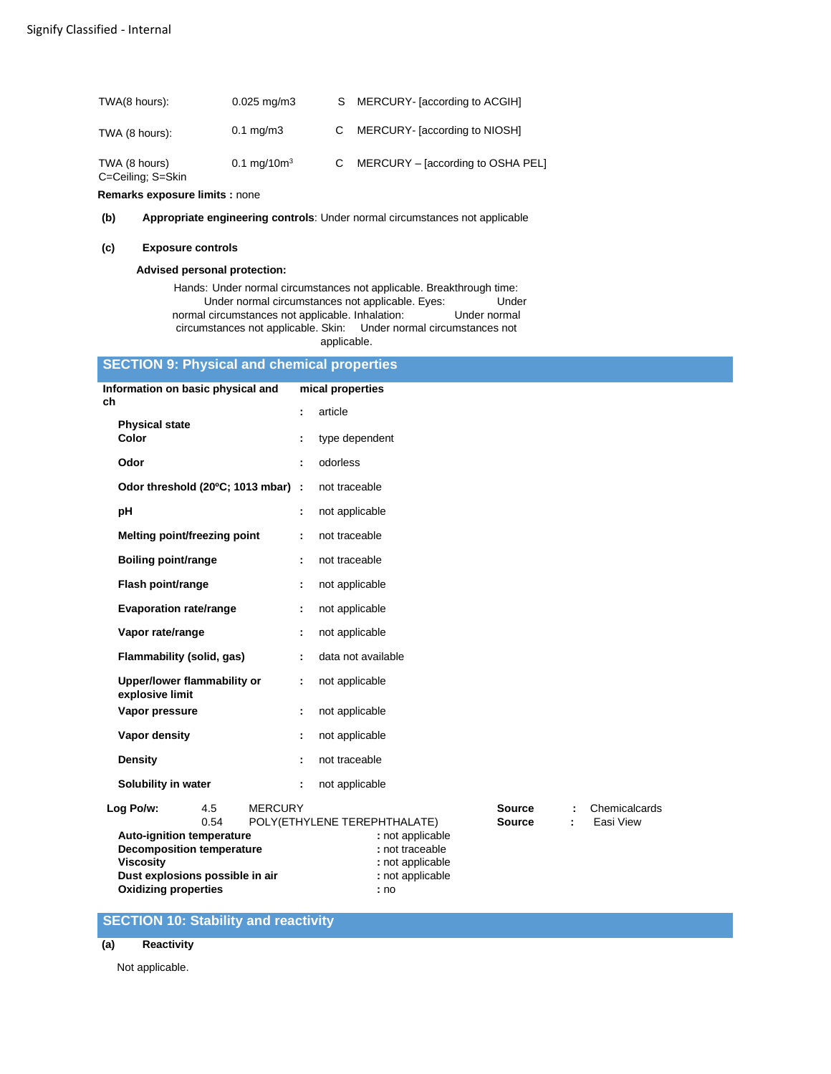| TWA(8 hours):                      | $0.025 \,\mathrm{mq/m3}$       | S MERCURY- [according to ACGIH]   |
|------------------------------------|--------------------------------|-----------------------------------|
| TWA (8 hours):                     | $0.1 \text{ mg/m}$ 3           | C MERCURY- [according to NIOSH]   |
| TWA (8 hours)<br>C=Ceiling; S=Skin | $0.1 \text{ mg}/10 \text{m}^3$ | MERCURY - [according to OSHA PEL] |

**Remarks exposure limits :** none

**(b) Appropriate engineering controls**: Under normal circumstances not applicable

### **(c) Exposure controls**

### **Advised personal protection:**

Hands: Under normal circumstances not applicable. Breakthrough time: Under normal circumstances not applicable. Eyes: Under Under I circumstances not applicable. Inhalation: Under normal normal circumstances not applicable. Inhalation: circumstances not applicable. Skin: Under normal circumstances not applicable.

# **SECTION 9: Physical and chemical properties**

| Information on basic physical and              | mical properties                                               |                                       |
|------------------------------------------------|----------------------------------------------------------------|---------------------------------------|
| ch                                             | article<br>÷.                                                  |                                       |
| <b>Physical state</b><br>Color                 | type dependent                                                 |                                       |
| Odor                                           | odorless<br>÷.                                                 |                                       |
| Odor threshold (20°C; 1013 mbar) :             | not traceable                                                  |                                       |
| pH                                             | not applicable<br>÷                                            |                                       |
| Melting point/freezing point                   | not traceable<br>÷                                             |                                       |
| Boiling point/range                            | not traceable<br>÷                                             |                                       |
| Flash point/range                              | not applicable<br>÷                                            |                                       |
| <b>Evaporation rate/range</b>                  | not applicable<br>÷                                            |                                       |
| Vapor rate/range                               | not applicable<br>÷                                            |                                       |
| Flammability (solid, gas)                      | data not available                                             |                                       |
| Upper/lower flammability or<br>explosive limit | not applicable<br>÷.                                           |                                       |
| Vapor pressure                                 | not applicable<br>÷                                            |                                       |
| Vapor density                                  | not applicable<br>÷                                            |                                       |
| Density                                        | not traceable<br>÷                                             |                                       |
| Solubility in water                            | not applicable<br>÷.                                           |                                       |
| Log Po/w:<br>4.5<br><b>MERCURY</b><br>0.54     | <b>Source</b><br>POLY(ETHYLENE TEREPHTHALATE)<br><b>Source</b> | Chemicalcards<br>÷<br>Easi View<br>÷. |
| <b>Auto-ignition temperature</b>               | : not applicable                                               |                                       |
| <b>Decomposition temperature</b>               | : not traceable                                                |                                       |
| <b>Viscosity</b>                               | : not applicable                                               |                                       |
| Dust explosions possible in air                | : not applicable                                               |                                       |
| <b>Oxidizing properties</b>                    | : no                                                           |                                       |

# **SECTION 10: Stability and reactivity**

# **(a) Reactivity**

Not applicable.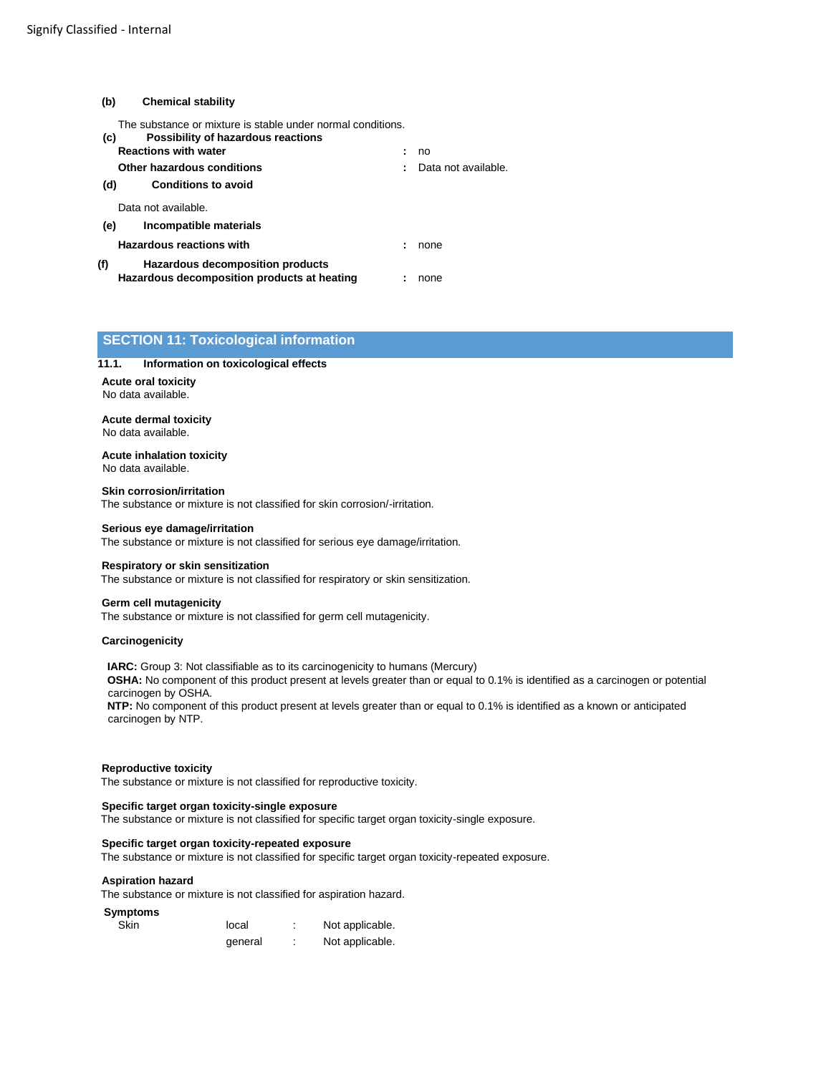# **(b) Chemical stability**

The substance or mixture is stable under normal conditions.

| (c) | Possibility of hazardous reactions                                              |                     |
|-----|---------------------------------------------------------------------------------|---------------------|
|     | <b>Reactions with water</b>                                                     | no                  |
|     | Other hazardous conditions                                                      | Data not available. |
| (d) | <b>Conditions to avoid</b>                                                      |                     |
|     | Data not available.                                                             |                     |
| (e) | Incompatible materials                                                          |                     |
|     | <b>Hazardous reactions with</b>                                                 | none                |
| (f) | Hazardous decomposition products<br>Hazardous decomposition products at heating | none                |

# **SECTION 11: Toxicological information**

### **11.1. Information on toxicological effects**

**Acute oral toxicity**  No data available.

**Acute dermal toxicity**  No data available.

**Acute inhalation toxicity**  No data available.

**Skin corrosion/irritation**  The substance or mixture is not classified for skin corrosion/-irritation.

### **Serious eye damage/irritation**

The substance or mixture is not classified for serious eye damage/irritation.

### **Respiratory or skin sensitization**

The substance or mixture is not classified for respiratory or skin sensitization.

#### **Germ cell mutagenicity**

The substance or mixture is not classified for germ cell mutagenicity.

### **Carcinogenicity**

**IARC:** Group 3: Not classifiable as to its carcinogenicity to humans (Mercury) **OSHA:** No component of this product present at levels greater than or equal to 0.1% is identified as a carcinogen or potential carcinogen by OSHA. **NTP:** No component of this product present at levels greater than or equal to 0.1% is identified as a known or anticipated carcinogen by NTP.

### **Reproductive toxicity**

The substance or mixture is not classified for reproductive toxicity.

### **Specific target organ toxicity-single exposure**

The substance or mixture is not classified for specific target organ toxicity-single exposure.

### **Specific target organ toxicity-repeated exposure**

The substance or mixture is not classified for specific target organ toxicity-repeated exposure.

#### **Aspiration hazard**

The substance or mixture is not classified for aspiration hazard.

### **Symptoms**

| Skin | local   | Not applicable. |
|------|---------|-----------------|
|      | deneral | Not applicable. |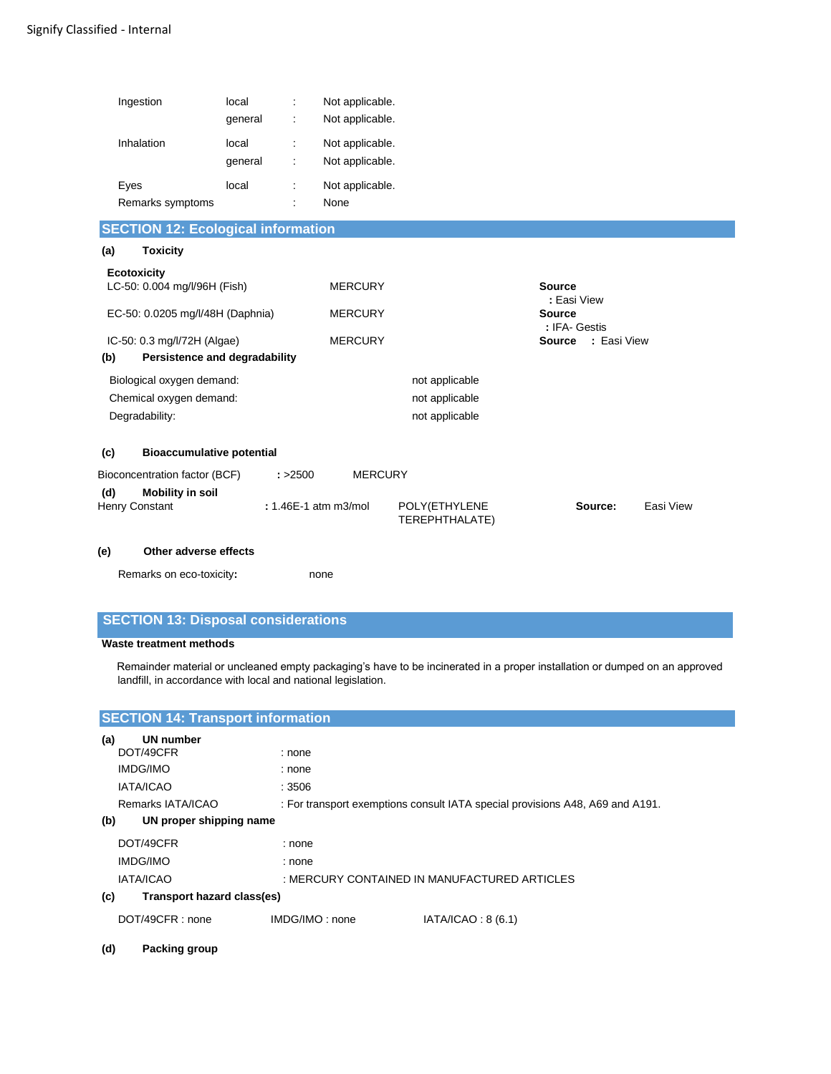| Ingestion<br>Inhalation                            | local<br>÷<br>general<br>÷<br>local<br>÷<br>general<br>÷ | Not applicable.<br>Not applicable.<br>Not applicable.<br>Not applicable. |                                 |                                |           |
|----------------------------------------------------|----------------------------------------------------------|--------------------------------------------------------------------------|---------------------------------|--------------------------------|-----------|
| Eyes                                               | local<br>÷                                               | Not applicable.                                                          |                                 |                                |           |
| Remarks symptoms                                   |                                                          | None                                                                     |                                 |                                |           |
| <b>SECTION 12: Ecological information</b>          |                                                          |                                                                          |                                 |                                |           |
| (a)<br><b>Toxicity</b>                             |                                                          |                                                                          |                                 |                                |           |
| <b>Ecotoxicity</b><br>LC-50: 0.004 mg/l/96H (Fish) |                                                          | <b>MERCURY</b>                                                           |                                 | <b>Source</b><br>: Easi View   |           |
| EC-50: 0.0205 mg/l/48H (Daphnia)                   |                                                          | <b>MERCURY</b>                                                           |                                 | <b>Source</b><br>: IFA- Gestis |           |
| IC-50: 0.3 mg/l/72H (Algae)                        |                                                          | <b>MERCURY</b>                                                           |                                 | <b>Source : Easi View</b>      |           |
| (b)<br>Persistence and degradability               |                                                          |                                                                          |                                 |                                |           |
| Biological oxygen demand:                          |                                                          |                                                                          | not applicable                  |                                |           |
| Chemical oxygen demand:                            |                                                          |                                                                          | not applicable                  |                                |           |
| Degradability:                                     |                                                          |                                                                          | not applicable                  |                                |           |
| <b>Bioaccumulative potential</b><br>(c)            |                                                          |                                                                          |                                 |                                |           |
| Bioconcentration factor (BCF)                      | : > 2500                                                 | <b>MERCURY</b>                                                           |                                 |                                |           |
| (d)<br><b>Mobility in soil</b><br>Henry Constant   |                                                          | : 1.46E-1 atm m3/mol                                                     | POLY(ETHYLENE<br>TEREPHTHALATE) | Source:                        | Easi View |

# **(e) Other adverse effects**

Remarks on eco-toxicity**:** none

# **SECTION 13: Disposal considerations**

# **Waste treatment methods**

Remainder material or uncleaned empty packaging's have to be incinerated in a proper installation or dumped on an approved landfill, in accordance with local and national legislation.

| <b>SECTION 14: Transport information</b> |                |                                                                               |
|------------------------------------------|----------------|-------------------------------------------------------------------------------|
| <b>UN number</b><br>(a)                  |                |                                                                               |
| DOT/49CFR                                | : none         |                                                                               |
| IMDG/IMO                                 | : none         |                                                                               |
| <b>IATA/ICAO</b>                         | : 3506         |                                                                               |
| Remarks IATA/ICAO                        |                | : For transport exemptions consult IATA special provisions A48, A69 and A191. |
| UN proper shipping name<br>(b)           |                |                                                                               |
| DOT/49CFR                                | : none         |                                                                               |
| IMDG/IMO                                 | : none         |                                                                               |
| <b>IATA/ICAO</b>                         |                | : MERCURY CONTAINED IN MANUFACTURED ARTICLES                                  |
| Transport hazard class(es)<br>(c)        |                |                                                                               |
| DOT/49CFR: none                          | IMDG/IMO: none | IATA/ICAO: 8 <sub>(6.1)</sub>                                                 |

# **(d) Packing group**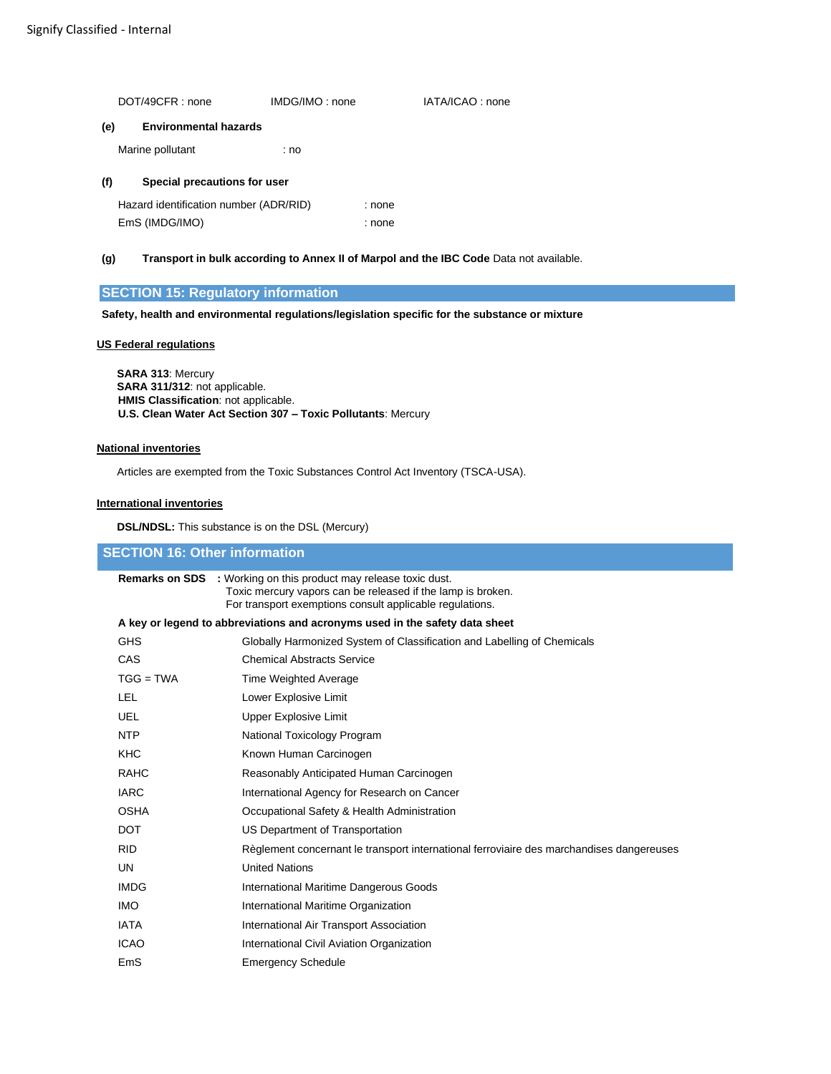|     | DOT/49CFR: none                        | IMDG/IMO: none |        | IATA/ICAO: none |
|-----|----------------------------------------|----------------|--------|-----------------|
| (e) | <b>Environmental hazards</b>           |                |        |                 |
|     | Marine pollutant                       | : no           |        |                 |
| (f) | Special precautions for user           |                |        |                 |
|     | Hazard identification number (ADR/RID) |                | : none |                 |
|     | EmS (IMDG/IMO)                         |                | : none |                 |

# **(g) Transport in bulk according to Annex II of Marpol and the IBC Code** Data not available.

# **SECTION 15: Regulatory information**

**Safety, health and environmental regulations/legislation specific for the substance or mixture** 

# **US Federal regulations**

**SARA 313**: Mercury **SARA 311/312**: not applicable. **HMIS Classification**: not applicable. **U.S. Clean Water Act Section 307 – Toxic Pollutants**: Mercury

# **National inventories**

Articles are exempted from the Toxic Substances Control Act Inventory (TSCA-USA).

### **International inventories**

**DSL/NDSL:** This substance is on the DSL (Mercury)

# **SECTION 16: Other information**

|                                                                             | <b>Remarks on SDS</b> : Working on this product may release toxic dust.<br>Toxic mercury vapors can be released if the lamp is broken.<br>For transport exemptions consult applicable regulations. |
|-----------------------------------------------------------------------------|----------------------------------------------------------------------------------------------------------------------------------------------------------------------------------------------------|
| A key or legend to abbreviations and acronyms used in the safety data sheet |                                                                                                                                                                                                    |
| <b>GHS</b>                                                                  | Globally Harmonized System of Classification and Labelling of Chemicals                                                                                                                            |
| CAS                                                                         | <b>Chemical Abstracts Service</b>                                                                                                                                                                  |
| $TGG = TWA$                                                                 | <b>Time Weighted Average</b>                                                                                                                                                                       |
| LEL.                                                                        | Lower Explosive Limit                                                                                                                                                                              |
| UEL                                                                         | Upper Explosive Limit                                                                                                                                                                              |
| <b>NTP</b>                                                                  | National Toxicology Program                                                                                                                                                                        |
| <b>KHC</b>                                                                  | Known Human Carcinogen                                                                                                                                                                             |
| <b>RAHC</b>                                                                 | Reasonably Anticipated Human Carcinogen                                                                                                                                                            |
| <b>IARC</b>                                                                 | International Agency for Research on Cancer                                                                                                                                                        |
| <b>OSHA</b>                                                                 | Occupational Safety & Health Administration                                                                                                                                                        |
| <b>DOT</b>                                                                  | US Department of Transportation                                                                                                                                                                    |
| <b>RID</b>                                                                  | Règlement concernant le transport international ferroviaire des marchandises dangereuses                                                                                                           |
| UN                                                                          | <b>United Nations</b>                                                                                                                                                                              |
| <b>IMDG</b>                                                                 | International Maritime Dangerous Goods                                                                                                                                                             |
| <b>IMO</b>                                                                  | International Maritime Organization                                                                                                                                                                |
| <b>IATA</b>                                                                 | International Air Transport Association                                                                                                                                                            |
| <b>ICAO</b>                                                                 | International Civil Aviation Organization                                                                                                                                                          |
| EmS                                                                         | <b>Emergency Schedule</b>                                                                                                                                                                          |
|                                                                             |                                                                                                                                                                                                    |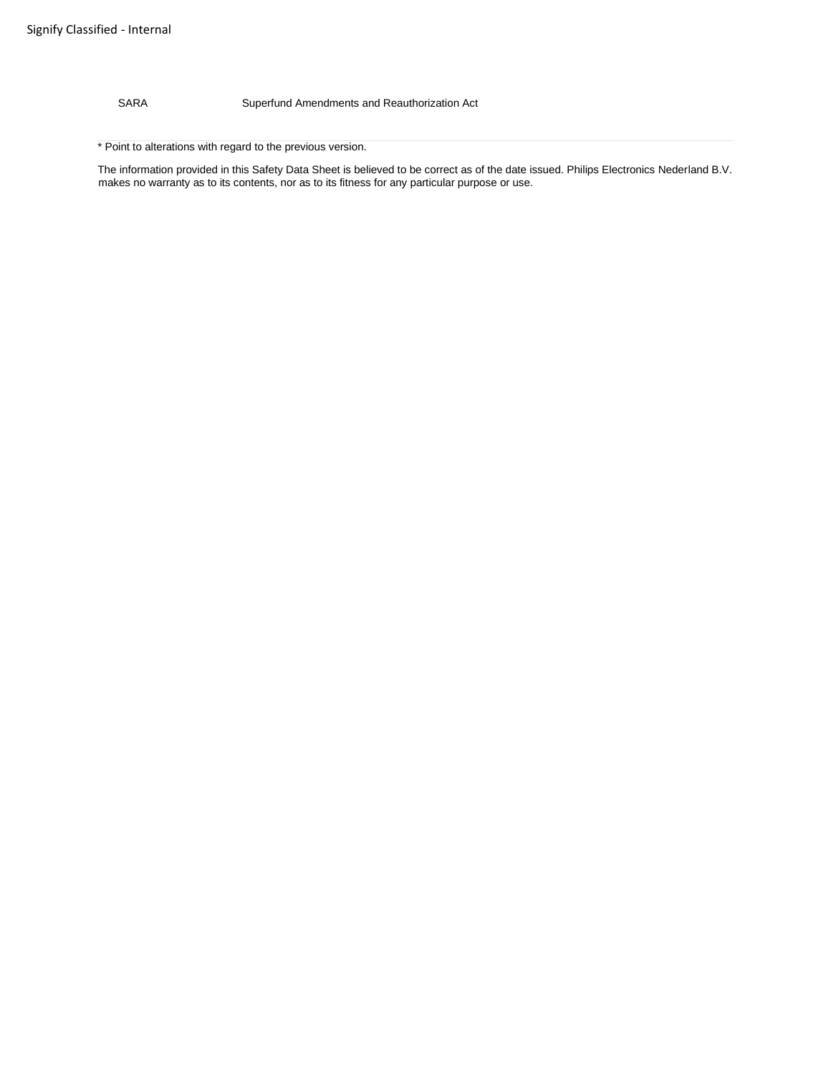SARA Superfund Amendments and Reauthorization Act

\* Point to alterations with regard to the previous version.

The information provided in this Safety Data Sheet is believed to be correct as of the date issued. Philips Electronics Nederland B.V. makes no warranty as to its contents, nor as to its fitness for any particular purpose or use.